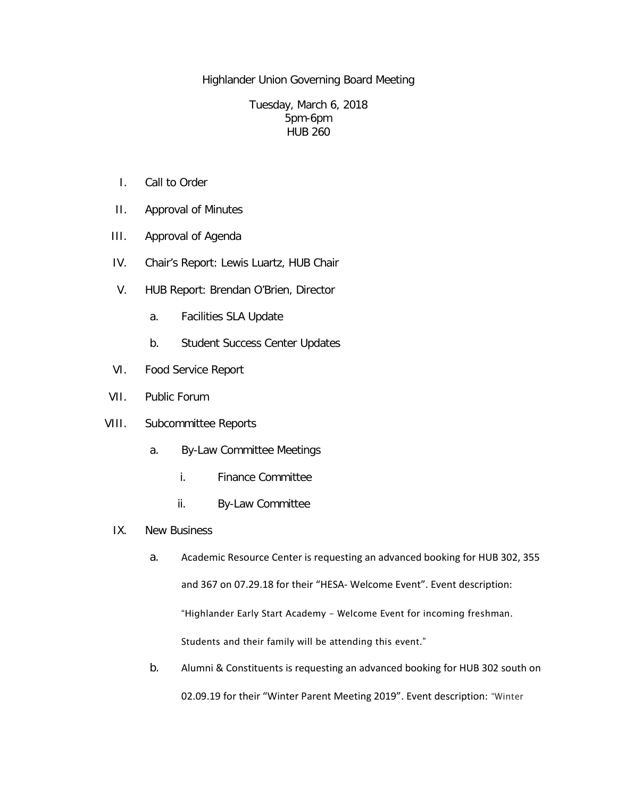Highlander Union Governing Board Meeting

## Tuesday, March 6, 2018 5pm-6pm HUB 260

- I. Call to Order
- II. Approval of Minutes
- III. Approval of Agenda
- IV. Chair's Report: Lewis Luartz, HUB Chair
- V. HUB Report: Brendan O'Brien, Director
	- a. Facilities SLA Update
	- b. Student Success Center Updates
- VI. Food Service Report
- VII. Public Forum
- VIII. Subcommittee Reports
	- a. By-Law Committee Meetings
		- i. Finance Committee
		- ii. By-Law Committee
	- IX. New Business
		- a. Academic Resource Center is requesting an advanced booking for HUB 302, 355 and 367 on 07.29.18 for their "HESA- Welcome Event". Event description: "Highlander Early Start Academy - Welcome Event for incoming freshman. Students and their family will be attending this event."
		- b. Alumni & Constituents is requesting an advanced booking for HUB 302 south on 02.09.19 for their "Winter Parent Meeting 2019". Event description: "Winter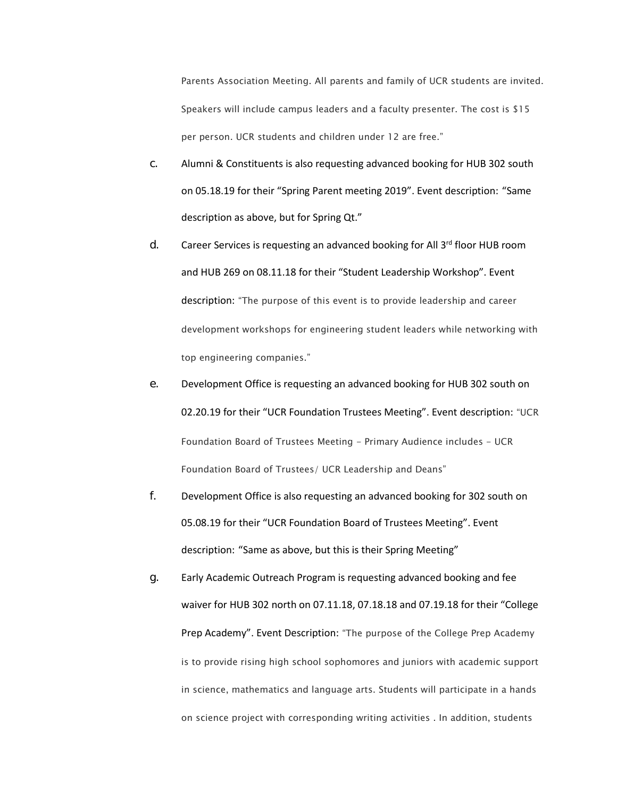Parents Association Meeting. All parents and family of UCR students are invited. Speakers will include campus leaders and a faculty presenter. The cost is \$15 per person. UCR students and children under 12 are free."

- c. Alumni & Constituents is also requesting advanced booking for HUB 302 south on 05.18.19 for their "Spring Parent meeting 2019". Event description: "Same description as above, but for Spring Qt."
- d. Career Services is requesting an advanced booking for All  $3<sup>rd</sup>$  floor HUB room and HUB 269 on 08.11.18 for their "Student Leadership Workshop". Event description: "The purpose of this event is to provide leadership and career development workshops for engineering student leaders while networking with top engineering companies."
- e. Development Office is requesting an advanced booking for HUB 302 south on 02.20.19 for their "UCR Foundation Trustees Meeting". Event description: "UCR Foundation Board of Trustees Meeting - Primary Audience includes - UCR Foundation Board of Trustees/ UCR Leadership and Deans"
- f. Development Office is also requesting an advanced booking for 302 south on 05.08.19 for their "UCR Foundation Board of Trustees Meeting". Event description: "Same as above, but this is their Spring Meeting"
- g. Early Academic Outreach Program is requesting advanced booking and fee waiver for HUB 302 north on 07.11.18, 07.18.18 and 07.19.18 for their "College Prep Academy". Event Description: "The purpose of the College Prep Academy is to provide rising high school sophomores and juniors with academic support in science, mathematics and language arts. Students will participate in a hands on science project with corresponding writing activities . In addition, students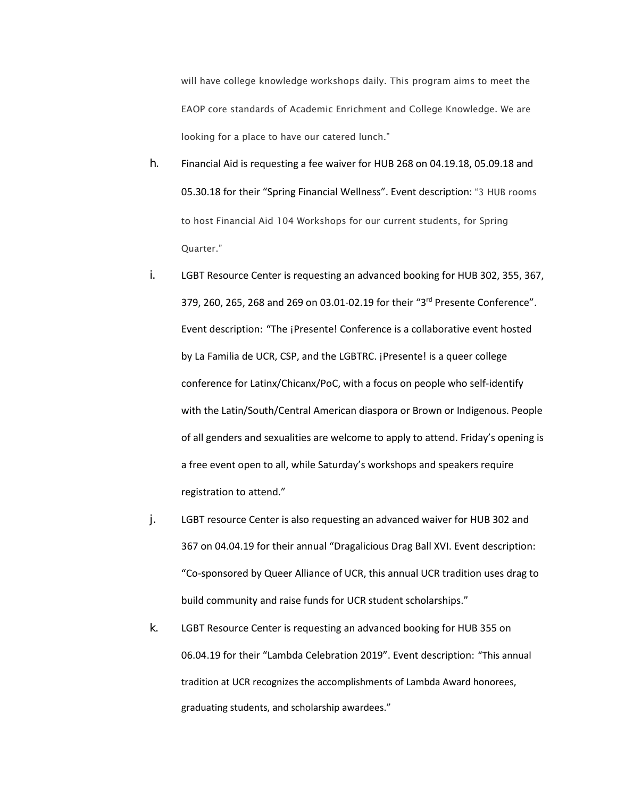will have college knowledge workshops daily. This program aims to meet the EAOP core standards of Academic Enrichment and College Knowledge. We are looking for a place to have our catered lunch."

- h. Financial Aid is requesting a fee waiver for HUB 268 on 04.19.18, 05.09.18 and 05.30.18 for their "Spring Financial Wellness". Event description: "3 HUB rooms to host Financial Aid 104 Workshops for our current students, for Spring Quarter."
- i. LGBT Resource Center is requesting an advanced booking for HUB 302, 355, 367, 379, 260, 265, 268 and 269 on 03.01-02.19 for their "3rd Presente Conference". Event description: "The ¡Presente! Conference is a collaborative event hosted by La Familia de UCR, CSP, and the LGBTRC. ¡Presente! is a queer college conference for Latinx/Chicanx/PoC, with a focus on people who self-identify with the Latin/South/Central American diaspora or Brown or Indigenous. People of all genders and sexualities are welcome to apply to attend. Friday's opening is a free event open to all, while Saturday's workshops and speakers require registration to attend."
- j. LGBT resource Center is also requesting an advanced waiver for HUB 302 and 367 on 04.04.19 for their annual "Dragalicious Drag Ball XVI. Event description: "Co-sponsored by Queer Alliance of UCR, this annual UCR tradition uses drag to build community and raise funds for UCR student scholarships."
- k. LGBT Resource Center is requesting an advanced booking for HUB 355 on 06.04.19 for their "Lambda Celebration 2019". Event description: "This annual tradition at UCR recognizes the accomplishments of Lambda Award honorees, graduating students, and scholarship awardees."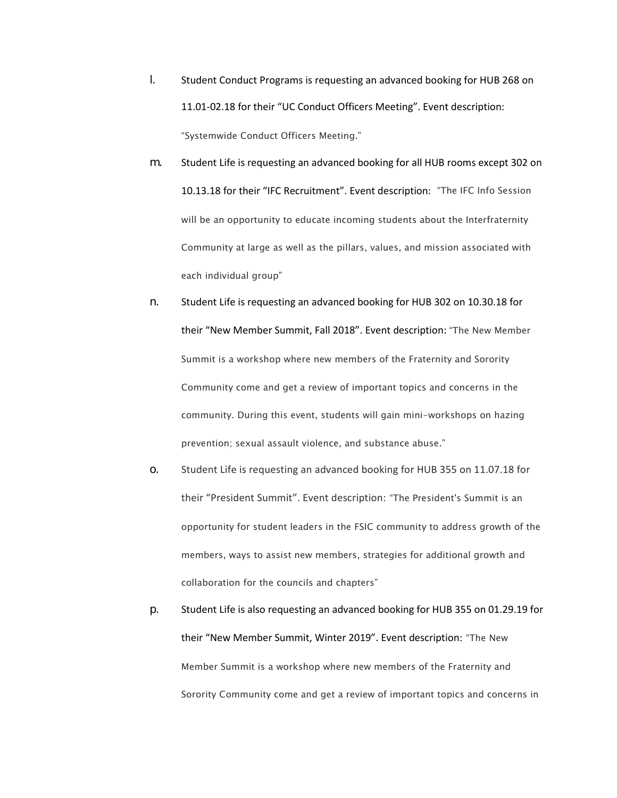- l. Student Conduct Programs is requesting an advanced booking for HUB 268 on 11.01-02.18 for their "UC Conduct Officers Meeting". Event description: "Systemwide Conduct Officers Meeting."
- m. Student Life is requesting an advanced booking for all HUB rooms except 302 on 10.13.18 for their "IFC Recruitment". Event description: "The IFC Info Session will be an opportunity to educate incoming students about the Interfraternity Community at large as well as the pillars, values, and mission associated with each individual group"
- n. Student Life is requesting an advanced booking for HUB 302 on 10.30.18 for their "New Member Summit, Fall 2018". Event description: "The New Member Summit is a workshop where new members of the Fraternity and Sorority Community come and get a review of important topics and concerns in the community. During this event, students will gain mini-workshops on hazing prevention; sexual assault violence, and substance abuse."
- o. Student Life is requesting an advanced booking for HUB 355 on 11.07.18 for their "President Summit". Event description: "The President's Summit is an opportunity for student leaders in the FSIC community to address growth of the members, ways to assist new members, strategies for additional growth and collaboration for the councils and chapters"
- p. Student Life is also requesting an advanced booking for HUB 355 on 01.29.19 for their "New Member Summit, Winter 2019". Event description: "The New Member Summit is a workshop where new members of the Fraternity and Sorority Community come and get a review of important topics and concerns in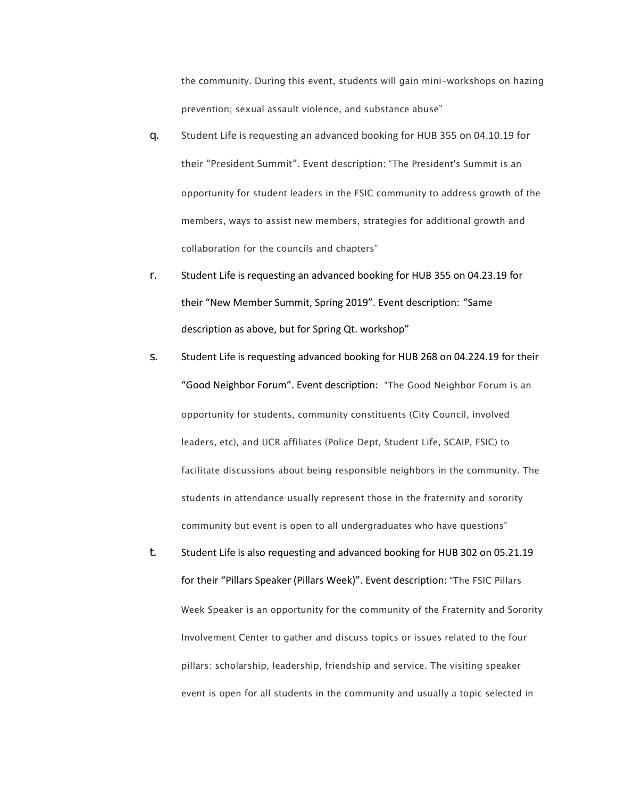the community. During this event, students will gain mini-workshops on hazing prevention; sexual assault violence, and substance abuse"

- q. Student Life is requesting an advanced booking for HUB 355 on 04.10.19 for their "President Summit". Event description: "The President's Summit is an opportunity for student leaders in the FSIC community to address growth of the members, ways to assist new members, strategies for additional growth and collaboration for the councils and chapters"
- r. Student Life is requesting an advanced booking for HUB 355 on 04.23.19 for their "New Member Summit, Spring 2019". Event description: "Same description as above, but for Spring Qt. workshop"
- s. Student Life is requesting advanced booking for HUB 268 on 04.224.19 for their "Good Neighbor Forum". Event description: "The Good Neighbor Forum is an opportunity for students, community constituents (City Council, involved leaders, etc), and UCR affiliates (Police Dept, Student Life, SCAIP, FSIC) to facilitate discussions about being responsible neighbors in the community. The students in attendance usually represent those in the fraternity and sorority community but event is open to all undergraduates who have questions"
- t. Student Life is also requesting and advanced booking for HUB 302 on 05.21.19 for their "Pillars Speaker (Pillars Week)". Event description: "The FSIC Pillars Week Speaker is an opportunity for the community of the Fraternity and Sorority Involvement Center to gather and discuss topics or issues related to the four pillars: scholarship, leadership, friendship and service. The visiting speaker event is open for all students in the community and usually a topic selected in